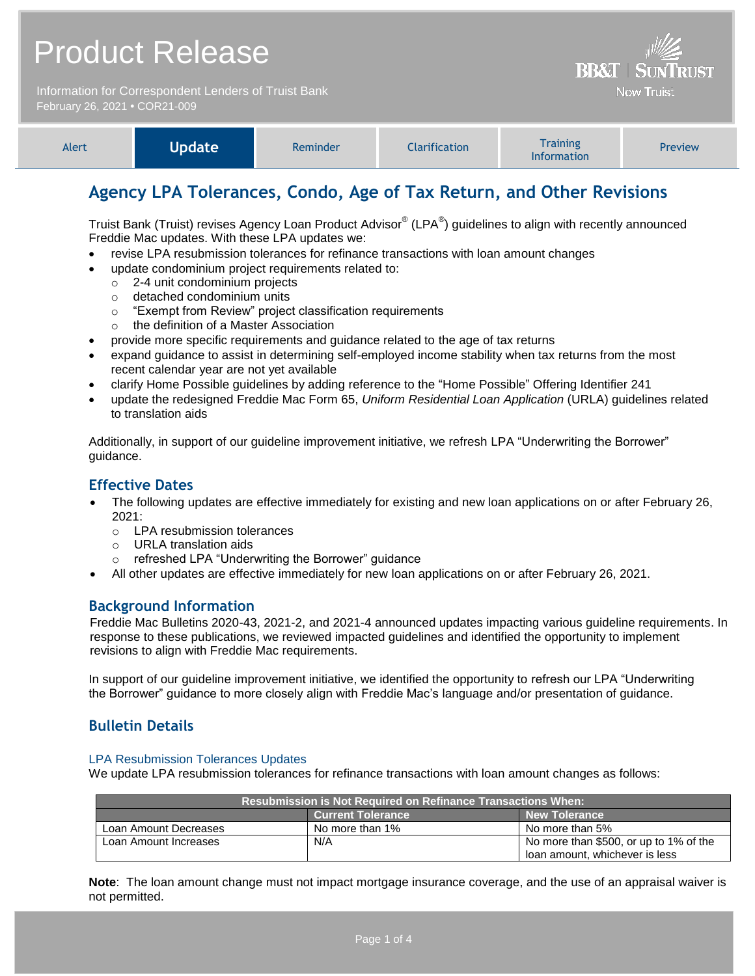| <b>Product Release</b><br>Information for Correspondent Lenders of Truist Bank<br>February 26, 2021 . COR21-009 |               |          |                      | <b>BB&amp;T   SUNTRUST</b><br><b>Now Truist</b>             |         |
|-----------------------------------------------------------------------------------------------------------------|---------------|----------|----------------------|-------------------------------------------------------------|---------|
| Alert                                                                                                           | <b>Update</b> | Reminder | <b>Clarification</b> | <b>Training</b><br>$\mathbf{r}$ . The state of $\mathbf{r}$ | Preview |

# **Agency LPA Tolerances, Condo, Age of Tax Return, and Other Revisions**

Truist Bank (Truist) revises Agency Loan Product Advisor® (LPA®) guidelines to align with recently announced Freddie Mac updates. With these LPA updates we:

Information

- revise LPA resubmission tolerances for refinance transactions with loan amount changes
- update condominium project requirements related to:
	- o 2-4 unit condominium projects
	- o detached condominium units
	- o "Exempt from Review" project classification requirements
	- the definition of a Master Association
- provide more specific requirements and guidance related to the age of tax returns
- expand guidance to assist in determining self-employed income stability when tax returns from the most recent calendar year are not yet available
- clarify Home Possible guidelines by adding reference to the "Home Possible" Offering Identifier 241
- update the redesigned Freddie Mac Form 65, *Uniform Residential Loan Application* (URLA) guidelines related to translation aids

Additionally, in support of our guideline improvement initiative, we refresh LPA "Underwriting the Borrower" guidance.

### **Effective Dates**

- The following updates are effective immediately for existing and new loan applications on or after February 26, 2021:
	- o LPA resubmission tolerances
	- o URLA translation aids
	- o refreshed LPA "Underwriting the Borrower" guidance
- All other updates are effective immediately for new loan applications on or after February 26, 2021.

### **Background Information**

Freddie Mac Bulletins 2020-43, 2021-2, and 2021-4 announced updates impacting various guideline requirements. In response to these publications, we reviewed impacted guidelines and identified the opportunity to implement revisions to align with Freddie Mac requirements.

In support of our guideline improvement initiative, we identified the opportunity to refresh our LPA "Underwriting the Borrower" guidance to more closely align with Freddie Mac's language and/or presentation of guidance.

### **Bulletin Details**

### LPA Resubmission Tolerances Updates

We update LPA resubmission tolerances for refinance transactions with loan amount changes as follows:

| <b>Resubmission is Not Required on Refinance Transactions When:</b> |                          |                                        |  |  |
|---------------------------------------------------------------------|--------------------------|----------------------------------------|--|--|
|                                                                     | <b>Current Tolerance</b> | <b>New Tolerance</b>                   |  |  |
| Loan Amount Decreases                                               | No more than 1%          | No more than 5%                        |  |  |
| Loan Amount Increases                                               | N/A                      | No more than \$500, or up to 1% of the |  |  |
|                                                                     |                          | loan amount, whichever is less         |  |  |

**Note**: The loan amount change must not impact mortgage insurance coverage, and the use of an appraisal waiver is not permitted.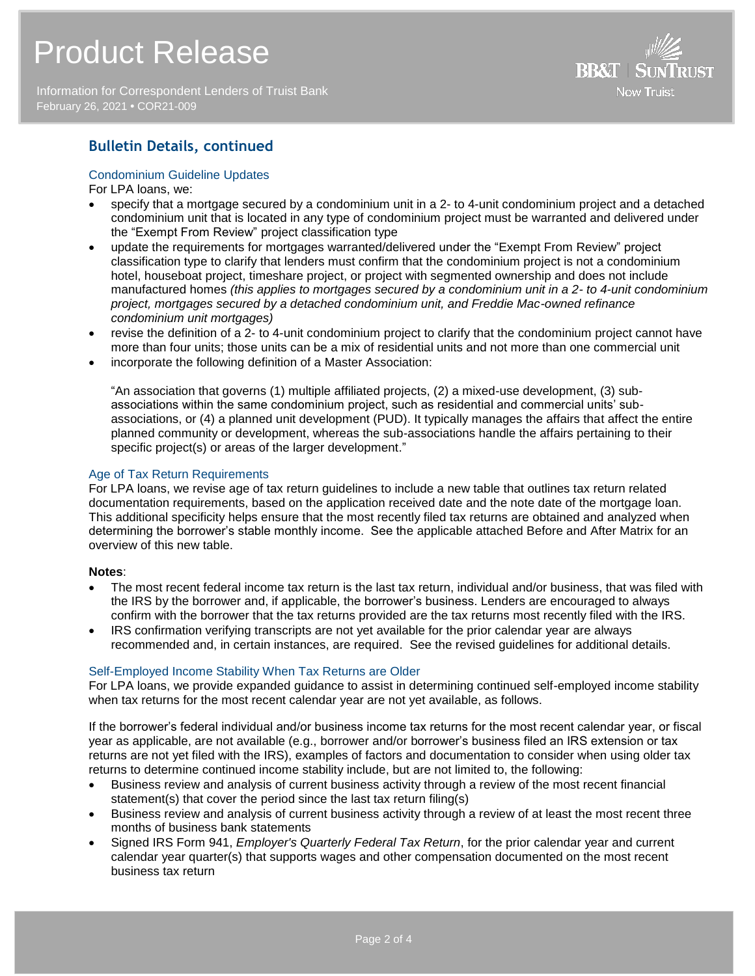Information for Correspondent Lenders of Truist Bank February 26, 2021 **•** COR21-009



# **Bulletin Details, continued**

### Condominium Guideline Updates

For LPA loans, we:

- specify that a mortgage secured by a condominium unit in a 2- to 4-unit condominium project and a detached condominium unit that is located in any type of condominium project must be warranted and delivered under the "Exempt From Review" project classification type
- update the requirements for mortgages warranted/delivered under the "Exempt From Review" project classification type to clarify that lenders must confirm that the condominium project is not a condominium hotel, houseboat project, timeshare project, or project with segmented ownership and does not include manufactured homes *(this applies to mortgages secured by a condominium unit in a 2- to 4-unit condominium project, mortgages secured by a detached condominium unit, and Freddie Mac-owned refinance condominium unit mortgages)*
- revise the definition of a 2- to 4-unit condominium project to clarify that the condominium project cannot have more than four units; those units can be a mix of residential units and not more than one commercial unit
- incorporate the following definition of a Master Association:

"An association that governs (1) multiple affiliated projects, (2) a mixed-use development, (3) subassociations within the same condominium project, such as residential and commercial units' subassociations, or (4) a planned unit development (PUD). It typically manages the affairs that affect the entire planned community or development, whereas the sub-associations handle the affairs pertaining to their specific project(s) or areas of the larger development."

### Age of Tax Return Requirements

For LPA loans, we revise age of tax return guidelines to include a new table that outlines tax return related documentation requirements, based on the application received date and the note date of the mortgage loan. This additional specificity helps ensure that the most recently filed tax returns are obtained and analyzed when determining the borrower's stable monthly income. See the applicable attached Before and After Matrix for an overview of this new table.

### **Notes**:

- The most recent federal income tax return is the last tax return, individual and/or business, that was filed with the IRS by the borrower and, if applicable, the borrower's business. Lenders are encouraged to always confirm with the borrower that the tax returns provided are the tax returns most recently filed with the IRS.
- IRS confirmation verifying transcripts are not yet available for the prior calendar year are always recommended and, in certain instances, are required. See the revised guidelines for additional details.

### Self-Employed Income Stability When Tax Returns are Older

For LPA loans, we provide expanded guidance to assist in determining continued self-employed income stability when tax returns for the most recent calendar year are not yet available, as follows.

If the borrower's federal individual and/or business income tax returns for the most recent calendar year, or fiscal year as applicable, are not available (e.g., borrower and/or borrower's business filed an IRS extension or tax returns are not yet filed with the IRS), examples of factors and documentation to consider when using older tax returns to determine continued income stability include, but are not limited to, the following:

- Business review and analysis of current business activity through a review of the most recent financial statement(s) that cover the period since the last tax return filing(s)
- Business review and analysis of current business activity through a review of at least the most recent three months of business bank statements
- Signed IRS Form 941, *Employer's Quarterly Federal Tax Return*, for the prior calendar year and current calendar year quarter(s) that supports wages and other compensation documented on the most recent business tax return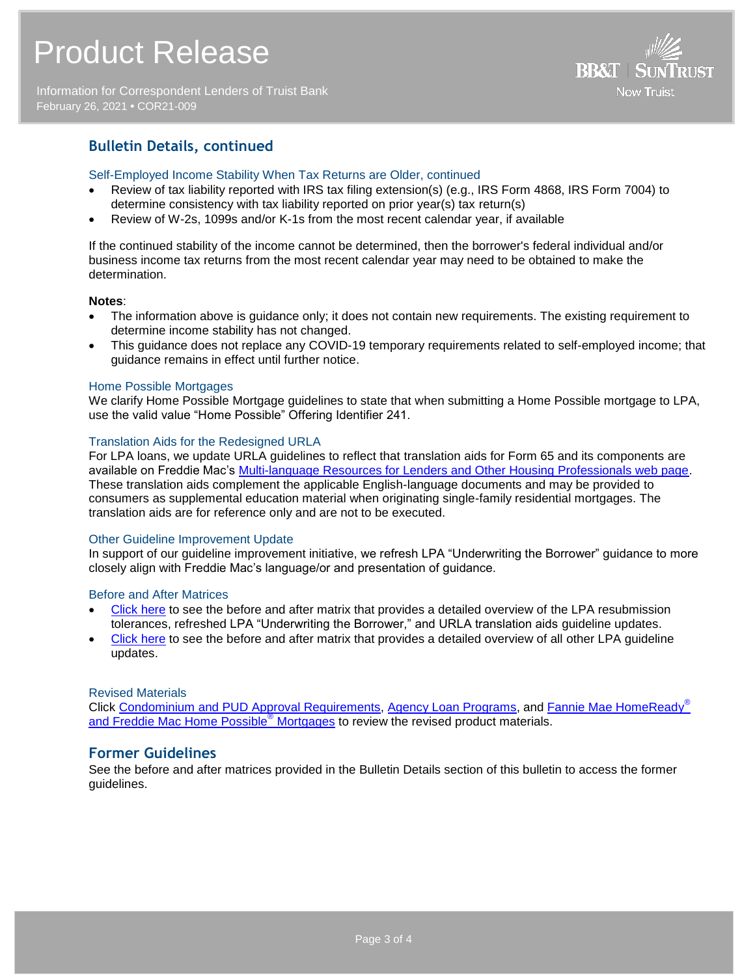Information for Correspondent Lenders of Truist Bank February 26, 2021 **•** COR21-009



# **Bulletin Details, continued**

### Self-Employed Income Stability When Tax Returns are Older, continued

- Review of tax liability reported with IRS tax filing extension(s) (e.g., IRS Form 4868, IRS Form 7004) to determine consistency with tax liability reported on prior year(s) tax return(s)
- Review of W-2s, 1099s and/or K-1s from the most recent calendar year, if available

If the continued stability of the income cannot be determined, then the borrower's federal individual and/or business income tax returns from the most recent calendar year may need to be obtained to make the determination.

#### **Notes**:

- The information above is guidance only; it does not contain new requirements. The existing requirement to determine income stability has not changed.
- This guidance does not replace any COVID-19 temporary requirements related to self-employed income; that guidance remains in effect until further notice.

### Home Possible Mortgages

We clarify Home Possible Mortgage guidelines to state that when submitting a Home Possible mortgage to LPA, use the valid value "Home Possible" Offering Identifier 241.

### Translation Aids for the Redesigned URLA

For LPA loans, we update URLA guidelines to reflect that translation aids for Form 65 and its components are available on Freddie Mac's [Multi-language Resources for Lenders and Other Housing Professionals web page.](https://sf.freddiemac.com/working-with-us/lep-translated-mortgage-documents) These translation aids complement the applicable English-language documents and may be provided to consumers as supplemental education material when originating single-family residential mortgages. The translation aids are for reference only and are not to be executed.

### Other Guideline Improvement Update

In support of our guideline improvement initiative, we refresh LPA "Underwriting the Borrower" guidance to more closely align with Freddie Mac's language/or and presentation of guidance.

#### Before and After Matrices

- [Click here](http://www.truistsellerguide.com/manual/cor/products/Cr21-009BA-NewandExist.pdf) to see the before and after matrix that provides a detailed overview of the LPA resubmission tolerances, refreshed LPA "Underwriting the Borrower," and URLA translation aids guideline updates.
- [Click here](http://www.truistsellerguide.com/manual/cor/products/Cr21-009BA-New.pdf) to see the before and after matrix that provides a detailed overview of all other LPA guideline updates.

#### Revised Materials

Click [Condominium and PUD Approval Requirements,](https://www.truistsellerguide.com/Manual/cor/general/1.06CondoPUD.pdf) [Agency Loan Programs,](https://www.truistsellerguide.com/manual/cor/products/CAgency.pdf) and [Fannie Mae HomeReady](https://www.truistsellerguide.com/Manual/cor/products/CHomeReadyandHomePossible.pdf)<sup>®</sup> [and Freddie Mac Home Possible](https://www.truistsellerguide.com/Manual/cor/products/CHomeReadyandHomePossible.pdf)® Mortgages to review the revised product materials.

## **Former Guidelines**

See the before and after matrices provided in the Bulletin Details section of this bulletin to access the former guidelines.